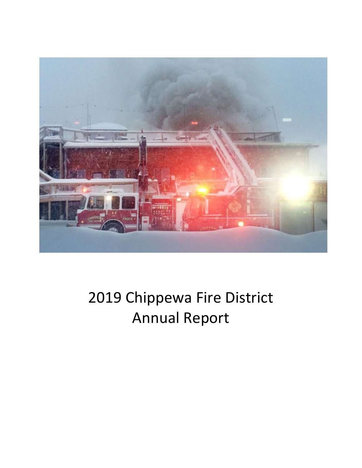

# 2019 Chippewa Fire District Annual Report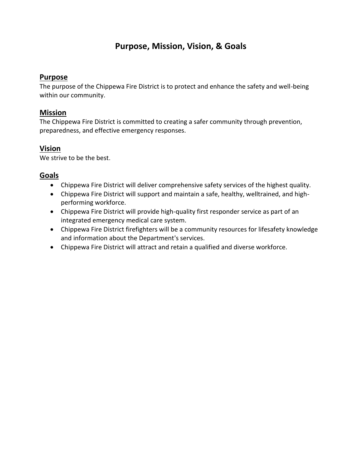# **Purpose, Mission, Vision, & Goals**

### **Purpose**

The purpose of the Chippewa Fire District is to protect and enhance the safety and well-being within our community.

# **Mission**

The Chippewa Fire District is committed to creating a safer community through prevention, preparedness, and effective emergency responses.

# **Vision**

We strive to be the best.

# **Goals**

- Chippewa Fire District will deliver comprehensive safety services of the highest quality.
- Chippewa Fire District will support and maintain a safe, healthy, welltrained, and highperforming workforce.
- Chippewa Fire District will provide high-quality first responder service as part of an integrated emergency medical care system.
- Chippewa Fire District firefighters will be a community resources for lifesafety knowledge and information about the Department's services.
- Chippewa Fire District will attract and retain a qualified and diverse workforce.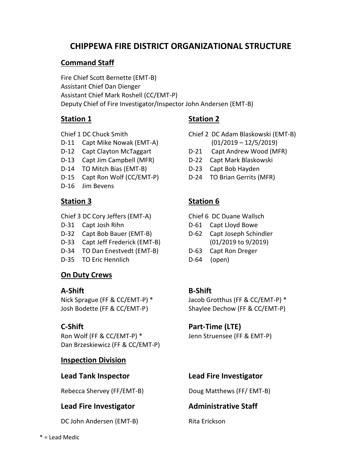# **CHIPPEWA FIRE DISTRICT ORGANIZATIONAL STRUCTURE**

# **Command Staff**

Fire Chief Scott Bernette (EMT-B) Assistant Chief Dan Dienger Assistant Chief Mark Roshell (CC/EMT-P) Deputy Chief of Fire Investigator/Inspector John Andersen (EMT-B)

- D-11 Capt Mike Nowak (EMT-A) (01/2019 12/5/2019)
- 
- D-13 Capt Jim Campbell (MFR) D-22 Capt Mark Blaskowski
- D-14 TO Mitch Bias (EMT-B) D-23 Capt Bob Hayden
- D-15 Capt Ron Wolf (CC/EMT-P) D-24 TO Brian Gerrits (MFR)
- D-16 Jim Bevens

Chief 3 DC Cory Jeffers (EMT-A) Chief 6 DC Duane Wallsch

- 
- D-32 Capt Bob Bauer (EMT-B) D-62 Capt Joseph Schindler
- D-33 Capt Jeff Frederick (EMT-B) (01/2019 to 9/2019)
- D-34 TO Dan Enestvedt (EMT-B) D-63 Capt Ron Dreger
- D-35 TO Eric Hennlich D-64 (open)

# **On Duty Crews**

### **A-Shift B-Shift**

Ron Wolf (FF & CC/EMT-P) \* Jenn Struensee (FF & EMT-P) Dan Brzeskiewicz (FF & CC/EMT-P)

# **Inspection Division**

# **Lead Fire Investigator Administrative Staff**

DC John Andersen (EMT-B) Rita Erickson

# **Station 1 Station 2**

- Chief 1 DC Chuck Smith Chief 2 DC Adam Blaskowski (EMT-B)
- D-12 Capt Clayton McTaggart **D-21 Capt Andrew Wood (MFR)** 
	-
	-
	-

# **Station 3 Station 6**

- 
- D-31 Capt Josh Rihn D-61 Capt Lloyd Bowe
	-
	-
	-

Nick Sprague (FF & CC/EMT-P) \* Jacob Grotthus (FF & CC/EMT-P) \* Josh Bodette (FF & CC/EMT-P) Shaylee Dechow (FF & CC/EMT-P)

# **C-Shift** Part-Time (LTE)

# **Lead Tank Inspector Lead Fire Investigator**

Rebecca Shervey (FF/EMT-B) Doug Matthews (FF/ EMT-B)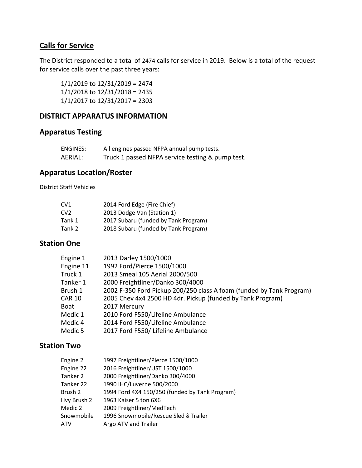# **Calls for Service**

The District responded to a total of 2474 calls for service in 2019. Below is a total of the request for service calls over the past three years:

1/1/2019 to 12/31/2019 = 2474 1/1/2018 to 12/31/2018 = 2435 1/1/2017 to 12/31/2017 = 2303

#### **DISTRICT APPARATUS INFORMATION**

### **Apparatus Testing**

| ENGINES: | All engines passed NFPA annual pump tests.       |
|----------|--------------------------------------------------|
| AERIAL:  | Truck 1 passed NFPA service testing & pump test. |

## **Apparatus Location/Roster**

District Staff Vehicles

| CV <sub>1</sub> | 2014 Ford Edge (Fire Chief)          |
|-----------------|--------------------------------------|
| CV <sub>2</sub> | 2013 Dodge Van (Station 1)           |
| Tank 1          | 2017 Subaru (funded by Tank Program) |
| Tank 2          | 2018 Subaru (funded by Tank Program) |

#### **Station One**

| 2013 Darley 1500/1000                                                |
|----------------------------------------------------------------------|
| 1992 Ford/Pierce 1500/1000                                           |
| 2013 Smeal 105 Aerial 2000/500                                       |
| 2000 Freightliner/Danko 300/4000                                     |
| 2002 F-350 Ford Pickup 200/250 class A foam (funded by Tank Program) |
| 2005 Chev 4x4 2500 HD 4dr. Pickup (funded by Tank Program)           |
| 2017 Mercury                                                         |
| 2010 Ford F550/Lifeline Ambulance                                    |
| 2014 Ford F550/Lifeline Ambulance                                    |
| 2017 Ford F550/ Lifeline Ambulance                                   |
|                                                                      |

### **Station Two**

| Engine 2    | 1997 Freightliner/Pierce 1500/1000             |
|-------------|------------------------------------------------|
| Engine 22   | 2016 Freightliner/UST 1500/1000                |
| Tanker 2    | 2000 Freightliner/Danko 300/4000               |
| Tanker 22   | 1990 IHC/Luverne 500/2000                      |
| Brush 2     | 1994 Ford 4X4 150/250 (funded by Tank Program) |
| Hvy Brush 2 | 1963 Kaiser 5 ton 6X6                          |
| Medic 2     | 2009 Freightliner/MedTech                      |
| Snowmobile  | 1996 Snowmobile/Rescue Sled & Trailer          |
| <b>ATV</b>  | Argo ATV and Trailer                           |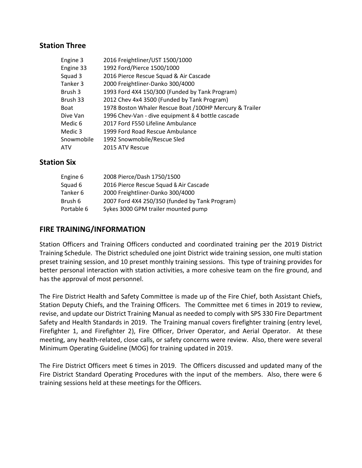#### **Station Three**

| Engine 3    | 2016 Freightliner/UST 1500/1000                         |
|-------------|---------------------------------------------------------|
| Engine 33   | 1992 Ford/Pierce 1500/1000                              |
| Squad 3     | 2016 Pierce Rescue Squad & Air Cascade                  |
| Tanker 3    | 2000 Freightliner-Danko 300/4000                        |
| Brush 3     | 1993 Ford 4X4 150/300 (Funded by Tank Program)          |
| Brush 33    | 2012 Chev 4x4 3500 (Funded by Tank Program)             |
| <b>Boat</b> | 1978 Boston Whaler Rescue Boat /100HP Mercury & Trailer |
| Dive Van    | 1996 Chev-Van - dive equipment & 4 bottle cascade       |
| Medic 6     | 2017 Ford F550 Lifeline Ambulance                       |
| Medic 3     | 1999 Ford Road Rescue Ambulance                         |
| Snowmobile  | 1992 Snowmobile/Rescue Sled                             |
| <b>ATV</b>  | 2015 ATV Rescue                                         |

### **Station Six**

| 2008 Pierce/Dash 1750/1500                     |
|------------------------------------------------|
| 2016 Pierce Rescue Squad & Air Cascade         |
| 2000 Freightliner-Danko 300/4000               |
| 2007 Ford 4X4 250/350 (funded by Tank Program) |
| Sykes 3000 GPM trailer mounted pump            |
|                                                |

### **FIRE TRAINING/INFORMATION**

Station Officers and Training Officers conducted and coordinated training per the 2019 District Training Schedule. The District scheduled one joint District wide training session, one multi station preset training session, and 10 preset monthly training sessions. This type of training provides for better personal interaction with station activities, a more cohesive team on the fire ground, and has the approval of most personnel.

The Fire District Health and Safety Committee is made up of the Fire Chief, both Assistant Chiefs, Station Deputy Chiefs, and the Training Officers. The Committee met 6 times in 2019 to review, revise, and update our District Training Manual as needed to comply with SPS 330 Fire Department Safety and Health Standards in 2019. The Training manual covers firefighter training (entry level, Firefighter 1, and Firefighter 2), Fire Officer, Driver Operator, and Aerial Operator. At these meeting, any health-related, close calls, or safety concerns were review. Also, there were several Minimum Operating Guideline (MOG) for training updated in 2019.

The Fire District Officers meet 6 times in 2019. The Officers discussed and updated many of the Fire District Standard Operating Procedures with the input of the members. Also, there were 6 training sessions held at these meetings for the Officers.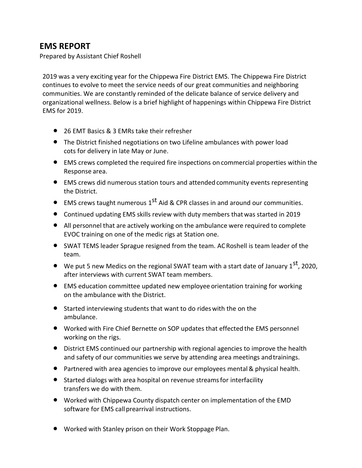# **EMS REPORT**

Prepared by Assistant Chief Roshell

2019 was a very exciting year for the Chippewa Fire District EMS. The Chippewa Fire District continues to evolve to meet the service needs of our great communities and neighboring communities. We are constantly reminded of the delicate balance of service delivery and organizational wellness. Below is a brief highlight of happenings within Chippewa Fire District EMS for 2019.

- 26 EMT Basics & 3 EMRs take their refresher
- The District finished negotiations on two Lifeline ambulances with power load cots for delivery in late May or June.
- EMS crews completed the required fire inspections on commercial properties within the Response area.
- EMS crews did numerous station tours and attendedcommunity events representing the District.
- $\bullet$  EMS crews taught numerous 1<sup>st</sup> Aid & CPR classes in and around our communities.
- Continued updating EMS skills review with duty members thatwas started in 2019
- All personnel that are actively working on the ambulance were required to complete EVOC training on one of the medic rigs at Station one.
- SWAT TEMS leader Sprague resigned from the team. ACRoshell is team leader of the team.
- We put 5 new Medics on the regional SWAT team with a start date of January  $1<sup>st</sup>$ , 2020, after interviews with current SWAT team members.
- EMS education committee updated new employee orientation training for working on the ambulance with the District.
- Started interviewing students that want to do rideswith the on the ambulance.
- Worked with Fire Chief Bernette on SOP updates that effected the EMS personnel working on the rigs.
- District EMS continued our partnership with regional agencies to improve the health and safety of our communities we serve by attending area meetings andtrainings.
- Partnered with area agencies to improve our employees mental& physical health.
- Started dialogs with area hospital on revenue streamsfor interfacility transfers we do with them.
- Worked with Chippewa County dispatch center on implementation of the EMD software for EMS call prearrival instructions.
- Worked with Stanley prison on their Work Stoppage Plan.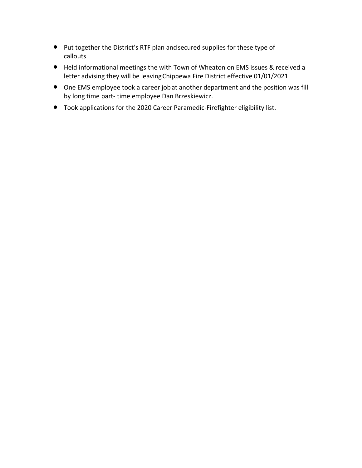- Put together the District's RTF plan andsecured supplies for these type of callouts
- Held informational meetings the with Town of Wheaton on EMS issues & received a letter advising they will be leavingChippewa Fire District effective 01/01/2021
- One EMS employee took a career jobat another department and the position was fill by long time part- time employee Dan Brzeskiewicz.
- Took applications for the 2020 Career Paramedic-Firefighter eligibility list.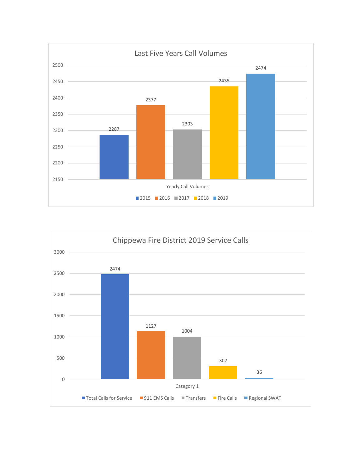

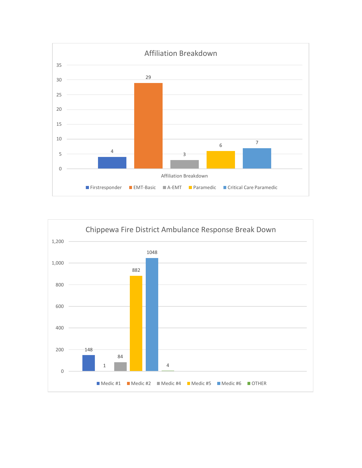

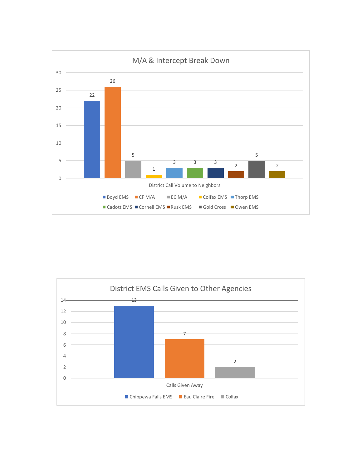

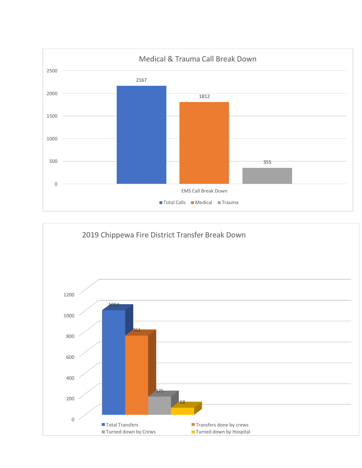

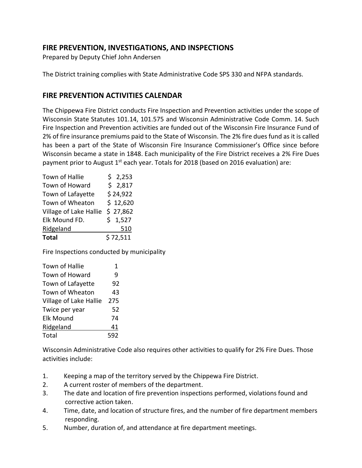# **FIRE PREVENTION, INVESTIGATIONS, AND INSPECTIONS**

Prepared by Deputy Chief John Andersen

The District training complies with State Administrative Code SPS 330 and NFPA standards.

## **FIRE PREVENTION ACTIVITIES CALENDAR**

The Chippewa Fire District conducts Fire Inspection and Prevention activities under the scope of Wisconsin State Statutes 101.14, 101.575 and Wisconsin Administrative Code Comm. 14. Such Fire Inspection and Prevention activities are funded out of the Wisconsin Fire Insurance Fund of 2% of fire insurance premiums paid to the State of Wisconsin. The 2% fire dues fund as it is called has been a part of the State of Wisconsin Fire Insurance Commissioner's Office since before Wisconsin became a state in 1848. Each municipality of the Fire District receives a 2% Fire Dues payment prior to August  $1^{st}$  each year. Totals for 2018 (based on 2016 evaluation) are:

| Town of Hallie         | \$2,253  |
|------------------------|----------|
| Town of Howard         | \$2,817  |
| Town of Lafayette      | \$24,922 |
| Town of Wheaton        | \$12,620 |
| Village of Lake Hallie | \$27,862 |
| Elk Mound FD.          | \$1,527  |
| Ridgeland              | 510      |
| <b>Total</b>           | \$72,511 |

Fire Inspections conducted by municipality

| <b>Town of Hallie</b>  | 1   |
|------------------------|-----|
| <b>Town of Howard</b>  | 9   |
| Town of Lafayette      | 92  |
| Town of Wheaton        | 43  |
| Village of Lake Hallie | 275 |
| Twice per year         | 52  |
| <b>Elk Mound</b>       | 74  |
| Ridgeland              | 41  |
| Total                  | 592 |

Wisconsin Administrative Code also requires other activities to qualify for 2% Fire Dues. Those activities include:

- 1. Keeping a map of the territory served by the Chippewa Fire District.
- 2. A current roster of members of the department.
- 3. The date and location of fire prevention inspections performed, violations found and corrective action taken.
- 4. Time, date, and location of structure fires, and the number of fire department members responding.
- 5. Number, duration of, and attendance at fire department meetings.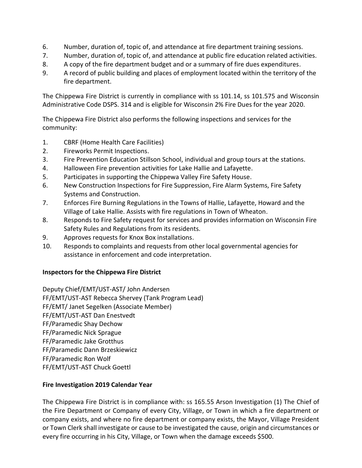- 6. Number, duration of, topic of, and attendance at fire department training sessions.
- 7. Number, duration of, topic of, and attendance at public fire education related activities.
- 8. A copy of the fire department budget and or a summary of fire dues expenditures.
- 9. A record of public building and places of employment located within the territory of the fire department.

The Chippewa Fire District is currently in compliance with ss 101.14, ss 101.575 and Wisconsin Administrative Code DSPS. 314 and is eligible for Wisconsin 2% Fire Dues for the year 2020.

The Chippewa Fire District also performs the following inspections and services for the community:

- 1. CBRF (Home Health Care Facilities)
- 2. Fireworks Permit Inspections.
- 3. Fire Prevention Education Stillson School, individual and group tours at the stations.
- 4. Halloween Fire prevention activities for Lake Hallie and Lafayette.
- 5. Participates in supporting the Chippewa Valley Fire Safety House.
- 6. New Construction Inspections for Fire Suppression, Fire Alarm Systems, Fire Safety Systems and Construction.
- 7. Enforces Fire Burning Regulations in the Towns of Hallie, Lafayette, Howard and the Village of Lake Hallie. Assists with fire regulations in Town of Wheaton.
- 8. Responds to Fire Safety request for services and provides information on Wisconsin Fire Safety Rules and Regulations from its residents.
- 9. Approves requests for Knox Box installations.
- 10. Responds to complaints and requests from other local governmental agencies for assistance in enforcement and code interpretation.

#### **Inspectors for the Chippewa Fire District**

Deputy Chief/EMT/UST-AST/ John Andersen FF/EMT/UST-AST Rebecca Shervey (Tank Program Lead) FF/EMT/ Janet Segelken (Associate Member) FF/EMT/UST-AST Dan Enestvedt FF/Paramedic Shay Dechow FF/Paramedic Nick Sprague FF/Paramedic Jake Grotthus FF/Paramedic Dann Brzeskiewicz FF/Paramedic Ron Wolf FF/EMT/UST-AST Chuck Goettl

#### **Fire Investigation 2019 Calendar Year**

The Chippewa Fire District is in compliance with: ss 165.55 Arson Investigation (1) The Chief of the Fire Department or Company of every City, Village, or Town in which a fire department or company exists, and where no fire department or company exists, the Mayor, Village President or Town Clerk shall investigate or cause to be investigated the cause, origin and circumstances or every fire occurring in his City, Village, or Town when the damage exceeds \$500.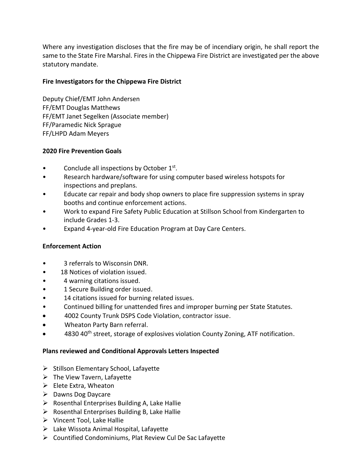Where any investigation discloses that the fire may be of incendiary origin, he shall report the same to the State Fire Marshal. Fires in the Chippewa Fire District are investigated per the above statutory mandate.

#### **Fire Investigators for the Chippewa Fire District**

Deputy Chief/EMT John Andersen FF/EMT Douglas Matthews FF/EMT Janet Segelken (Associate member) FF/Paramedic Nick Sprague FF/LHPD Adam Meyers

#### **2020 Fire Prevention Goals**

- Conclude all inspections by October 1st.
- Research hardware/software for using computer based wireless hotspots for inspections and preplans.
- Educate car repair and body shop owners to place fire suppression systems in spray booths and continue enforcement actions.
- Work to expand Fire Safety Public Education at Stillson School from Kindergarten to include Grades 1-3.
- Expand 4-year-old Fire Education Program at Day Care Centers.

#### **Enforcement Action**

- 3 referrals to Wisconsin DNR.
- 18 Notices of violation issued.
- 4 warning citations issued.
- 1 Secure Building order issued.
- 14 citations issued for burning related issues.
- Continued billing for unattended fires and improper burning per State Statutes.
- 4002 County Trunk DSPS Code Violation, contractor issue.
- Wheaton Party Barn referral.
- 4830 40<sup>th</sup> street, storage of explosives violation County Zoning, ATF notification.

#### **Plans reviewed and Conditional Approvals Letters Inspected**

- ➢ Stillson Elementary School, Lafayette
- $\triangleright$  The View Tavern, Lafayette
- $\triangleright$  Elete Extra, Wheaton
- ➢ Dawns Dog Daycare
- $\triangleright$  Rosenthal Enterprises Building A, Lake Hallie
- $\triangleright$  Rosenthal Enterprises Building B, Lake Hallie
- ➢ Vincent Tool, Lake Hallie
- $\triangleright$  Lake Wissota Animal Hospital, Lafayette
- ➢ Countified Condominiums, Plat Review Cul De Sac Lafayette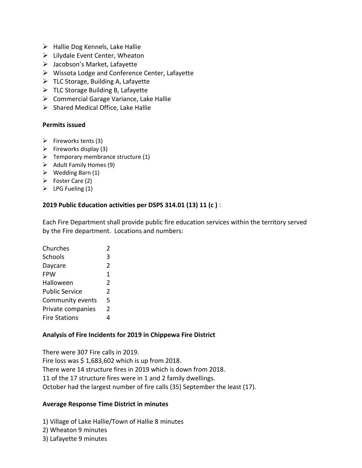- $\triangleright$  Hallie Dog Kennels, Lake Hallie
- $\triangleright$  Lilydale Event Center, Wheaton
- $\triangleright$  Jacobson's Market, Lafayette
- ➢ Wissota Lodge and Conference Center, Lafayette
- $\triangleright$  TLC Storage, Building A, Lafayette
- $\triangleright$  TLC Storage Building B, Lafayette
- ➢ Commercial Garage Variance, Lake Hallie
- $\triangleright$  Shared Medical Office, Lake Hallie

#### **Permits issued**

- $\triangleright$  Fireworks tents (3)
- $\triangleright$  Fireworks display (3)
- $\triangleright$  Temporary membrance structure (1)
- $\triangleright$  Adult Family Homes (9)
- $\triangleright$  Wedding Barn (1)
- ➢ Foster Care (2)
- $\triangleright$  LPG Fueling (1)

#### **2019 Public Education activities per DSPS 314.01 (13) 11 (c )** :

Each Fire Department shall provide public fire education services within the territory served by the Fire department. Locations and numbers:

| Churches              | 2              |
|-----------------------|----------------|
| Schools               | 3              |
| Daycare               | $\mathfrak z$  |
| <b>FPW</b>            | 1              |
| Halloween             | $\overline{2}$ |
| <b>Public Service</b> | $\mathfrak z$  |
| Community events      | 5              |
| Private companies     | 2              |
| <b>Fire Stations</b>  |                |

#### **Analysis of Fire Incidents for 2019 in Chippewa Fire District**

There were 307 Fire calls in 2019. Fire loss was  $$ 1,683,602$  which is up from 2018. There were 14 structure fires in 2019 which is down from 2018. 11 of the 17 structure fires were in 1 and 2 family dwellings. October had the largest number of fire calls (35) September the least (17).

#### **Average Response Time District in minutes**

1) Village of Lake Hallie/Town of Hallie 8 minutes

2) Wheaton 9 minutes

3) Lafayette 9 minutes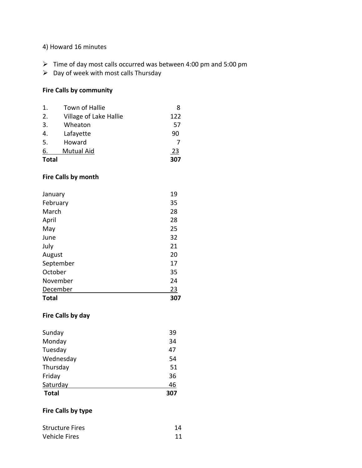#### 4) Howard 16 minutes

- ➢ Time of day most calls occurred was between 4:00 pm and 5:00 pm
- $\triangleright$  Day of week with most calls Thursday

#### **Fire Calls by community**

| <b>Total</b>   |                        | 307 |
|----------------|------------------------|-----|
| 6.             | <b>Mutual Aid</b>      | 23  |
| 5.             | Howard                 |     |
| 4.             | Lafayette              | 90  |
| 3.             | Wheaton                | 57  |
| 2.             | Village of Lake Hallie | 122 |
| $\mathbf{1}$ . | Town of Hallie         | 8   |

#### **Fire Calls by month**

| <b>Total</b> | 307       |
|--------------|-----------|
| December     | <u>23</u> |
| November     | 24        |
| October      | 35        |
| September    | 17        |
| August       | 20        |
| July         | 21        |
| June         | 32        |
| May          | 25        |
| April        | 28        |
| March        | 28        |
| February     | 35        |
| January      | 19        |

#### **Fire Calls by day**

| Sunday       | 39  |
|--------------|-----|
| Monday       | 34  |
| Tuesday      | 47  |
| Wednesday    | 54  |
| Thursday     | 51  |
| Friday       | 36  |
| Saturday     | 46  |
| <b>Total</b> | 307 |

#### **Fire Calls by type**

| <b>Structure Fires</b> | 14 |
|------------------------|----|
| <b>Vehicle Fires</b>   |    |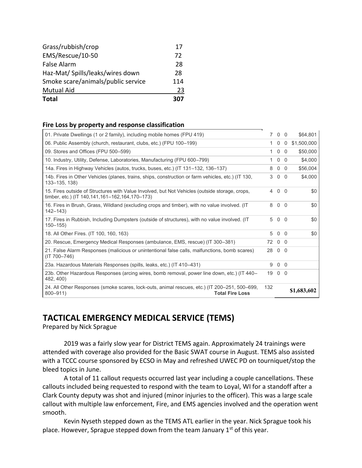| <b>Total</b>                       |     |
|------------------------------------|-----|
| <b>Mutual Aid</b>                  | 23  |
| Smoke scare/animals/public service | 114 |
| Haz-Mat/ Spills/leaks/wires down   | 28  |
| False Alarm                        | 28  |
| EMS/Rescue/10-50                   | 72  |
| Grass/rubbish/crop                 | 17  |

#### **Fire Loss by property and response classification**

| 01. Private Dwellings (1 or 2 family), including mobile homes (FPU 419)                                                                              |     | 7 0 0          |                | \$64,801    |
|------------------------------------------------------------------------------------------------------------------------------------------------------|-----|----------------|----------------|-------------|
| 06. Public Assembly (church, restaurant, clubs, etc.) (FPU 100-199)                                                                                  |     | 0              | $\overline{0}$ | \$1,500,000 |
| 09. Stores and Offices (FPU 500-599)                                                                                                                 |     | $\overline{0}$ | $\Omega$       | \$50,000    |
| 10. Industry, Utility, Defense, Laboratories, Manufacturing (FPU 600–799)                                                                            |     |                | $0\quad 0$     | \$4,000     |
| 14a. Fires in Highway Vehicles (autos, trucks, buses, etc.) (IT 131–132, 136–137)                                                                    | 8   |                | $0\quad 0$     | \$56,004    |
| 14b. Fires in Other Vehicles (planes, trains, ships, construction or farm vehicles, etc.) (IT 130,<br>133-135, 138)                                  | 3   |                | $0\quad 0$     | \$4,000     |
| 15. Fires outside of Structures with Value Involved, but Not Vehicles (outside storage, crops,<br>timber, etc.) (IT 140, 141, 161–162, 164, 170–173) | 4   | $0\quad 0$     |                | \$0         |
| 16. Fires in Brush, Grass, Wildland (excluding crops and timber), with no value involved. (IT<br>$142 - 143$                                         | 8   |                | $0\quad 0$     | \$0         |
| 17. Fires in Rubbish, Including Dumpsters (outside of structures), with no value involved. (IT<br>$150 - 155$                                        | 5   |                | $0\quad 0$     | \$0         |
| 18. All Other Fires. (IT 100, 160, 163)                                                                                                              | 5   |                | $0\quad 0$     | \$0         |
| 20. Rescue, Emergency Medical Responses (ambulance, EMS, rescue) (IT 300–381)                                                                        | 72  | $0\quad 0$     |                |             |
| 21. False Alarm Responses (malicious or unintentional false calls, malfunctions, bomb scares)<br>$(IT 700 - 746)$                                    | 28  | $0\quad 0$     |                |             |
| 23a. Hazardous Materials Responses (spills, leaks, etc.) (IT 410-431)                                                                                | 9   |                | $0\quad 0$     |             |
| 23b. Other Hazardous Responses (arcing wires, bomb removal, power line down, etc.) (IT 440–<br>482, 400)                                             | 19  |                | $0\quad 0$     |             |
| 24. All Other Responses (smoke scares, lock-outs, animal rescues, etc.) (IT 200–251, 500–699,<br><b>Total Fire Loss</b><br>$800 - 911$               | 132 |                |                | \$1,683,602 |

# **TACTICAL EMERGENCY MEDICAL SERVICE (TEMS)**

Prepared by Nick Sprague

2019 was a fairly slow year for District TEMS again. Approximately 24 trainings were attended with coverage also provided for the Basic SWAT course in August. TEMS also assisted with a TCCC course sponsored by ECSO in May and refreshed UWEC PD on tourniquet/stop the bleed topics in June.

A total of 11 callout requests occurred last year including a couple cancellations. These callouts included being requested to respond with the team to Loyal, WI for a standoff after a Clark County deputy was shot and injured (minor injuries to the officer). This was a large scale callout with multiple law enforcement, Fire, and EMS agencies involved and the operation went smooth.

Kevin Nyseth stepped down as the TEMS ATL earlier in the year. Nick Sprague took his place. However, Sprague stepped down from the team January  $1<sup>st</sup>$  of this year.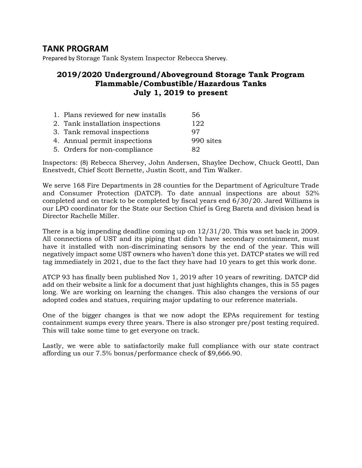# **TANK PROGRAM**

Prepared by Storage Tank System Inspector Rebecca Shervey.

# **2019/2020 Underground/Aboveground Storage Tank Program Flammable/Combustible/Hazardous Tanks July 1, 2019 to present**

| 1. Plans reviewed for new installs | 56        |
|------------------------------------|-----------|
| 2. Tank installation inspections   | 122       |
| 3. Tank removal inspections        | 97        |
| 4. Annual permit inspections       | 990 sites |
| 5. Orders for non-compliance       | 82.       |

Inspectors: (8) Rebecca Shervey, John Andersen, Shaylee Dechow, Chuck Geottl, Dan Enestvedt, Chief Scott Bernette, Justin Scott, and Tim Walker.

We serve 168 Fire Departments in 28 counties for the Department of Agriculture Trade and Consumer Protection (DATCP). To date annual inspections are about 52% completed and on track to be completed by fiscal years end 6/30/20. Jared Williams is our LPO coordinator for the State our Section Chief is Greg Bareta and division head is Director Rachelle Miller.

There is a big impending deadline coming up on 12/31/20. This was set back in 2009. All connections of UST and its piping that didn't have secondary containment, must have it installed with non-discriminating sensors by the end of the year. This will negatively impact some UST owners who haven't done this yet. DATCP states we will red tag immediately in 2021, due to the fact they have had 10 years to get this work done.

ATCP 93 has finally been published Nov 1, 2019 after 10 years of rewriting. DATCP did add on their website a link for a document that just highlights changes, this is 55 pages long. We are working on learning the changes. This also changes the versions of our adopted codes and statues, requiring major updating to our reference materials.

One of the bigger changes is that we now adopt the EPAs requirement for testing containment sumps every three years. There is also stronger pre/post testing required. This will take some time to get everyone on track.

Lastly, we were able to satisfactorily make full compliance with our state contract affording us our 7.5% bonus/performance check of \$9,666.90.